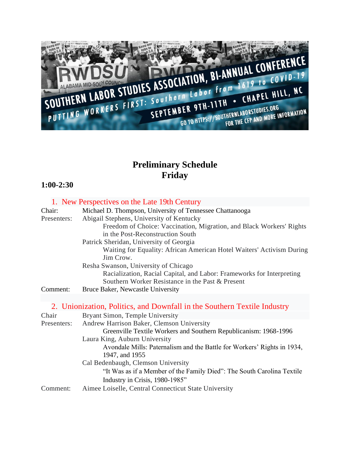

# **Preliminary Schedule Friday**

## **1:00-2:30**

|             | 1. New Perspectives on the Late 19th Century                                       |
|-------------|------------------------------------------------------------------------------------|
| Chair:      | Michael D. Thompson, University of Tennessee Chattanooga                           |
| Presenters: | Abigail Stephens, University of Kentucky                                           |
|             | Freedom of Choice: Vaccination, Migration, and Black Workers' Rights               |
|             | in the Post-Reconstruction South                                                   |
|             | Patrick Sheridan, University of Georgia                                            |
|             | Waiting for Equality: African American Hotel Waiters' Activism During<br>Jim Crow. |
|             | Resha Swanson, University of Chicago                                               |
|             | Racialization, Racial Capital, and Labor: Frameworks for Interpreting              |
|             | Southern Worker Resistance in the Past & Present                                   |
| Comment:    | Bruce Baker, Newcastle University                                                  |
|             |                                                                                    |
|             | 2. Unionization, Politics, and Downfall in the Southern Textile Industry           |
| Chair       | Bryant Simon, Temple University                                                    |
| Presenters: | Andrew Harrison Baker, Clemson University                                          |
|             | Greenville Textile Workers and Southern Republicanism: 1968-1996                   |
|             | Laura King, Auburn University                                                      |
|             | Avondale Mills: Paternalism and the Battle for Workers' Rights in 1934,            |
|             | 1947, and 1955                                                                     |
|             | Cal Bedenbaugh, Clemson University                                                 |
|             | "It Was as if a Member of the Family Died": The South Carolina Textile             |
|             | Industry in Crisis, 1980-1985"                                                     |
| Comment:    | Aimee Loiselle, Central Connecticut State University                               |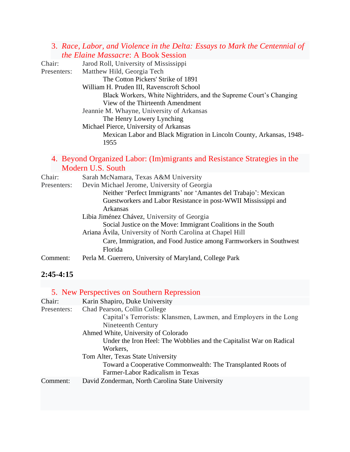#### 3. *Race, Labor, and Violence in the Delta: Essays to Mark the Centennial of the Elaine Massacre*: A Book Session

Chair: Jarod Roll, University of Mississippi Presenters: Matthew Hild, Georgia Tech The Cotton Pickers' Strike of 1891 William H. Pruden III, Ravenscroft School Black Workers, White Nightriders, and the Supreme Court's Changing View of the Thirteenth Amendment Jeannie M. Whayne, University of Arkansas The Henry Lowery Lynching Michael Pierce, University of Arkansas Mexican Labor and Black Migration in Lincoln County, Arkansas, 1948- 1955

#### 4. Beyond Organized Labor: (Im)migrants and Resistance Strategies in the Modern U.S. South

| Chair:      | Sarah McNamara, Texas A&M University                               |
|-------------|--------------------------------------------------------------------|
| Presenters: | Devin Michael Jerome, University of Georgia                        |
|             | Neither 'Perfect Immigrants' nor 'Amantes del Trabajo': Mexican    |
|             | Guestworkers and Labor Resistance in post-WWII Mississippi and     |
|             | Arkansas                                                           |
|             | Libia Jiménez Chávez, University of Georgia                        |
|             | Social Justice on the Move: Immigrant Coalitions in the South      |
|             | Ariana Ávila, University of North Carolina at Chapel Hill          |
|             | Care, Immigration, and Food Justice among Farmworkers in Southwest |
|             | Florida                                                            |
| Comment:    | Perla M. Guerrero, University of Maryland, College Park            |

### **2:45-4:15**

|             | 5. New Perspectives on Southern Repression                                                                                                                                                                                                        |
|-------------|---------------------------------------------------------------------------------------------------------------------------------------------------------------------------------------------------------------------------------------------------|
| Chair:      | Karin Shapiro, Duke University                                                                                                                                                                                                                    |
| Presenters: | Chad Pearson, Collin College<br>Capital's Terrorists: Klansmen, Lawmen, and Employers in the Long<br>Nineteenth Century<br>Ahmed White, University of Colorado<br>Under the Iron Heel: The Wobblies and the Capitalist War on Radical<br>Workers. |
|             | Tom Alter, Texas State University<br>Toward a Cooperative Commonwealth: The Transplanted Roots of<br>Farmer-Labor Radicalism in Texas                                                                                                             |
| Comment:    | David Zonderman, North Carolina State University                                                                                                                                                                                                  |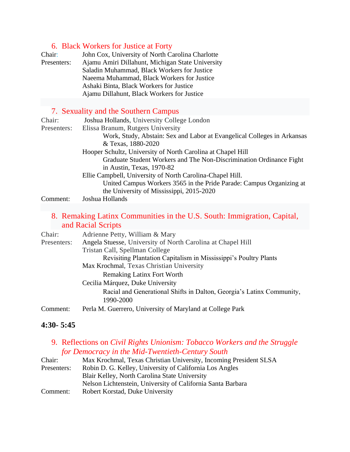### 6. Black Workers for Justice at Forty

| Chair:<br>Presenters: | John Cox, University of North Carolina Charlotte<br>Ajamu Amiri Dillahunt, Michigan State University<br>Saladin Muhammad, Black Workers for Justice<br>Naeema Muhammad, Black Workers for Justice<br>Ashaki Binta, Black Workers for Justice<br>Ajamu Dillahunt, Black Workers for Justice |
|-----------------------|--------------------------------------------------------------------------------------------------------------------------------------------------------------------------------------------------------------------------------------------------------------------------------------------|
|                       |                                                                                                                                                                                                                                                                                            |
|                       | 7. Sexuality and the Southern Campus                                                                                                                                                                                                                                                       |
| Chair:                | Joshua Hollands, University College London                                                                                                                                                                                                                                                 |
| Presenters:           | Elissa Branum, Rutgers University                                                                                                                                                                                                                                                          |
|                       | Work, Study, Abstain: Sex and Labor at Evangelical Colleges in Arkansas<br>& Texas, 1880-2020                                                                                                                                                                                              |
|                       | Hooper Schultz, University of North Carolina at Chapel Hill                                                                                                                                                                                                                                |
|                       | Graduate Student Workers and The Non-Discrimination Ordinance Fight<br>in Austin, Texas, 1970-82                                                                                                                                                                                           |
|                       | Ellie Campbell, University of North Carolina-Chapel Hill.                                                                                                                                                                                                                                  |

United Campus Workers 3565 in the Pride Parade: Campus Organizing at the University of Mississippi, 2015-2020

#### Comment: Joshua Hollands

8. Remaking Latinx Communities in the U.S. South: Immigration, Capital, and Racial Scripts

| Chair:      | Adrienne Petty, William & Mary                                        |
|-------------|-----------------------------------------------------------------------|
| Presenters: | Angela Stuesse, University of North Carolina at Chapel Hill           |
|             | Tristan Call, Spellman College                                        |
|             | Revisiting Plantation Capitalism in Mississippi's Poultry Plants      |
|             | Max Krochmal, Texas Christian University                              |
|             | <b>Remaking Latinx Fort Worth</b>                                     |
|             | Cecilia Márquez, Duke University                                      |
|             | Racial and Generational Shifts in Dalton, Georgia's Latinx Community, |
|             | 1990-2000                                                             |
| Comment:    | Perla M. Guerrero, University of Maryland at College Park             |

#### **4:30- 5:45**

#### 9. Reflections on *Civil Rights Unionism: Tobacco Workers and the Struggle for Democracy in the Mid-Twentieth-Century South*

| Chair:      | Max Krochmal, Texas Christian University, Incoming President SLSA |
|-------------|-------------------------------------------------------------------|
| Presenters: | Robin D. G. Kelley, University of California Los Angles           |
|             | Blair Kelley, North Carolina State University                     |
|             | Nelson Lichtenstein, University of California Santa Barbara       |
| Comment:    | Robert Korstad, Duke University                                   |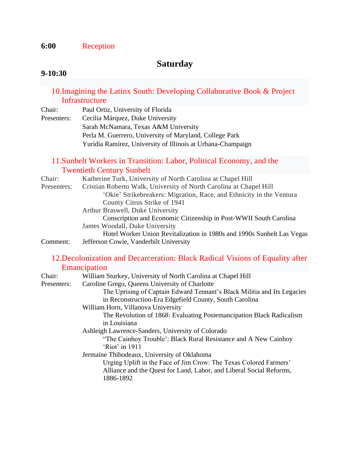### **6:00** Reception

# **Saturday**

#### **9-10:30**

### 10.Imagining the Latinx South: Developing Collaborative Book & Project Infrastructure

Chair: Paul Ortiz, University of Florida Presenters: Cecilia Márquez, Duke University Sarah McNamara, Texas A&M University Perla M. Guerrero, University of Maryland, College Park Yuridia Ramírez, University of Illinois at Urbana-Champaign

#### 11.Sunbelt Workers in Transition: Labor, Political Economy, and the Twentieth Century Sunbelt

| Chair:      | Katherine Turk, University of North Carolina at Chapel Hill            |
|-------------|------------------------------------------------------------------------|
| Presenters: | Cristian Roberto Walk, University of North Carolina at Chapel Hill     |
|             | 'Okie' Strikebreakers: Migration, Race, and Ethnicity in the Ventura   |
|             | County Citrus Strike of 1941                                           |
|             | Arthur Braswell, Duke University                                       |
|             | Conscription and Economic Citizenship in Post-WWII South Carolina      |
|             | James Woodall, Duke University                                         |
|             | Hotel Worker Union Revitalization in 1980s and 1990s Sunbelt Las Vegas |
| Comment:    | Jefferson Cowie, Vanderbilt University                                 |
|             |                                                                        |

#### 12.Decolonization and Decarceration: Black Radical Visions of Equality after **Emancipation**

| Chair:      | William Sturkey, University of North Carolina at Chapel Hill            |
|-------------|-------------------------------------------------------------------------|
| Presenters: | Caroline Grego, Queens University of Charlotte                          |
|             | The Uprising of Captain Edward Tennant's Black Militia and Its Legacies |
|             | in Reconstruction-Era Edgefield County, South Carolina                  |
|             | William Horn, Villanova University                                      |
|             | The Revolution of 1868: Evaluating Postemancipation Black Radicalism    |
|             | in Louisiana                                                            |
|             | Ashleigh Lawrence-Sanders, University of Colorado                       |
|             | "The Cainhoy Trouble': Black Rural Resistance and A New Cainhoy         |
|             | 'Riot' in 1911                                                          |
|             | Jermaine Thibodeaux, University of Oklahoma                             |
|             | Urging Uplift in the Face of Jim Crow: The Texas Colored Farmers'       |
|             | Alliance and the Quest for Land, Labor, and Liberal Social Reforms,     |
|             | 1886-1892                                                               |
|             |                                                                         |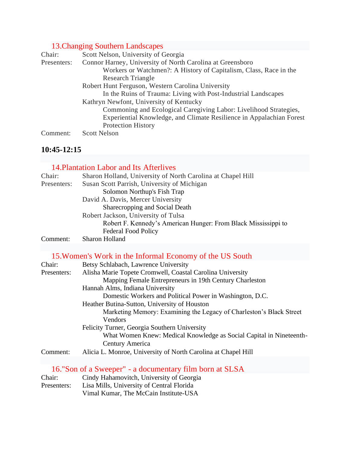# 13.Changing Southern Landscapes

| Chair:      | Scott Nelson, University of Georgia                                  |
|-------------|----------------------------------------------------------------------|
| Presenters: | Connor Harney, University of North Carolina at Greensboro            |
|             | Workers or Watchmen?: A History of Capitalism, Class, Race in the    |
|             | <b>Research Triangle</b>                                             |
|             | Robert Hunt Ferguson, Western Carolina University                    |
|             | In the Ruins of Trauma: Living with Post-Industrial Landscapes       |
|             | Kathryn Newfont, University of Kentucky                              |
|             | Commoning and Ecological Caregiving Labor: Livelihood Strategies,    |
|             | Experiential Knowledge, and Climate Resilience in Appalachian Forest |
|             | <b>Protection History</b>                                            |
| Comment:    | <b>Scott Nelson</b>                                                  |

## **10:45-12:15**

### 14.Plantation Labor and Its Afterlives

| Chair:      | Sharon Holland, University of North Carolina at Chapel Hill    |
|-------------|----------------------------------------------------------------|
| Presenters: | Susan Scott Parrish, University of Michigan                    |
|             | Solomon Northup's Fish Trap                                    |
|             | David A. Davis, Mercer University                              |
|             | Sharecropping and Social Death                                 |
|             | Robert Jackson, University of Tulsa                            |
|             | Robert F. Kennedy's American Hunger: From Black Mississippi to |
|             | <b>Federal Food Policy</b>                                     |
| Comment:    | Sharon Holland                                                 |

# 15.Women's Work in the Informal Economy of the US South

| Chair:      | Betsy Schlabach, Lawrence University                                                   |
|-------------|----------------------------------------------------------------------------------------|
| Presenters: | Alisha Marie Topete Cromwell, Coastal Carolina University                              |
|             | Mapping Female Entrepreneurs in 19th Century Charleston                                |
|             | Hannah Alms, Indiana University                                                        |
|             | Domestic Workers and Political Power in Washington, D.C.                               |
|             | Heather Butina-Sutton, University of Houston                                           |
|             | Marketing Memory: Examining the Legacy of Charleston's Black Street                    |
|             | Vendors                                                                                |
|             | Felicity Turner, Georgia Southern University                                           |
|             | What Women Knew: Medical Knowledge as Social Capital in Nineteenth-<br>Century America |
| Comment:    | Alicia L. Monroe, University of North Carolina at Chapel Hill                          |
|             |                                                                                        |

|             | 16."Son of a Sweeper" - a documentary film born at SLSA |
|-------------|---------------------------------------------------------|
| Chair:      | Cindy Hahamovitch, University of Georgia                |
| Presenters: | Lisa Mills, University of Central Florida               |
|             | Vimal Kumar, The McCain Institute-USA                   |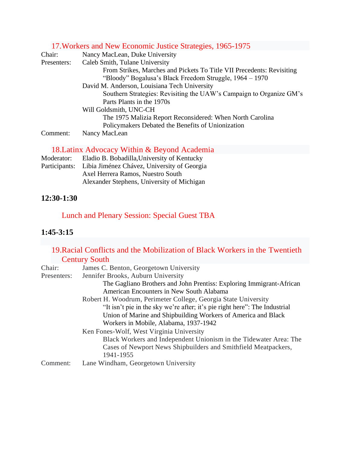# 17.Workers and New Economic Justice Strategies, 1965-1975

| Chair:      | Nancy MacLean, Duke University                                        |
|-------------|-----------------------------------------------------------------------|
| Presenters: | Caleb Smith, Tulane University                                        |
|             | From Strikes, Marches and Pickets To Title VII Precedents: Revisiting |
|             | "Bloody" Bogalusa's Black Freedom Struggle, 1964 – 1970               |
|             | David M. Anderson, Louisiana Tech University                          |
|             | Southern Strategies: Revisiting the UAW's Campaign to Organize GM's   |
|             | Parts Plants in the 1970s                                             |
|             | Will Goldsmith, UNC-CH                                                |
|             | The 1975 Malizia Report Reconsidered: When North Carolina             |
|             | Policymakers Debated the Benefits of Unionization                     |
| Comment:    | Nancy MacLean                                                         |

# 18.Latinx Advocacy Within & Beyond Academia

| Moderator: | Eladio B. Bobadilla, University of Kentucky               |
|------------|-----------------------------------------------------------|
|            | Participants: Libia Jiménez Chávez, University of Georgia |
|            | Axel Herrera Ramos, Nuestro South                         |
|            | Alexander Stephens, University of Michigan                |

### **12:30-1:30**

# Lunch and Plenary Session: Special Guest TBA

### **1:45-3:15**

## 19.Racial Conflicts and the Mobilization of Black Workers in the Twentieth **Century South**

| Chair:      | James C. Benton, Georgetown University                                     |
|-------------|----------------------------------------------------------------------------|
| Presenters: | Jennifer Brooks, Auburn University                                         |
|             | The Gagliano Brothers and John Prentiss: Exploring Immigrant-African       |
|             | American Encounters in New South Alabama                                   |
|             | Robert H. Woodrum, Perimeter College, Georgia State University             |
|             | "It isn't pie in the sky we're after; it's pie right here": The Industrial |
|             | Union of Marine and Shipbuilding Workers of America and Black              |
|             | Workers in Mobile, Alabama, 1937-1942                                      |
|             | Ken Fones-Wolf, West Virginia University                                   |
|             | Black Workers and Independent Unionism in the Tidewater Area: The          |
|             | Cases of Newport News Shipbuilders and Smithfield Meatpackers,             |
|             | 1941-1955                                                                  |
| Comment:    | Lane Windham, Georgetown University                                        |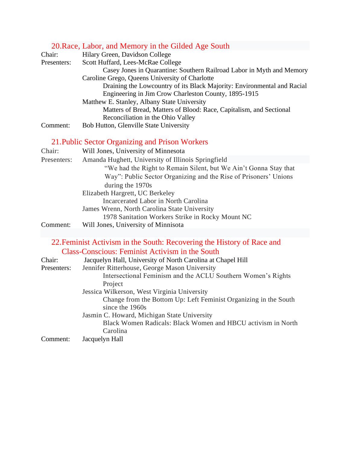### 20.Race, Labor, and Memory in the Gilded Age South

| Chair:      | Hilary Green, Davidson College                                          |
|-------------|-------------------------------------------------------------------------|
| Presenters: | Scott Huffard, Lees-McRae College                                       |
|             | Casey Jones in Quarantine: Southern Railroad Labor in Myth and Memory   |
|             | Caroline Grego, Queens University of Charlotte                          |
|             | Draining the Lowcountry of its Black Majority: Environmental and Racial |
|             | Engineering in Jim Crow Charleston County, 1895-1915                    |
|             | Matthew E. Stanley, Albany State University                             |
|             | Matters of Bread, Matters of Blood: Race, Capitalism, and Sectional     |
|             | Reconciliation in the Ohio Valley                                       |
| Comment:    | Bob Hutton, Glenville State University                                  |
|             | 21. Public Sector Organizing and Prison Workers                         |
| Chair:      | Will Jones, University of Minnesota                                     |
| Presenters: | Amanda Hughett, University of Illinois Springfield                      |
|             | "We had the Right to Remain Silent, but We Ain't Gonna Stay that        |
|             | Way": Public Sector Organizing and the Rise of Prisoners' Unions        |
|             | during the 1970s                                                        |
|             | Elizabeth Hargrett, UC Berkeley                                         |

Incarcerated Labor in North Carolina

James Wrenn, North Carolina State University

1978 Sanitation Workers Strike in Rocky Mount NC

Comment: Will Jones, University of Minnisota

#### 22.Feminist Activism in the South: Recovering the History of Race and Class-Conscious: Feminist Activism in the South

| Chair:<br>Presenters: | Jacquelyn Hall, University of North Carolina at Chapel Hill<br>Jennifer Ritterhouse, George Mason University<br>Intersectional Feminism and the ACLU Southern Women's Rights |
|-----------------------|------------------------------------------------------------------------------------------------------------------------------------------------------------------------------|
|                       | Project                                                                                                                                                                      |
|                       | Jessica Wilkerson, West Virginia University                                                                                                                                  |
|                       | Change from the Bottom Up: Left Feminist Organizing in the South<br>since the 1960s                                                                                          |
|                       | Jasmin C. Howard, Michigan State University                                                                                                                                  |
|                       | Black Women Radicals: Black Women and HBCU activism in North<br>Carolina                                                                                                     |
| Comment:              | Jacquelyn Hall                                                                                                                                                               |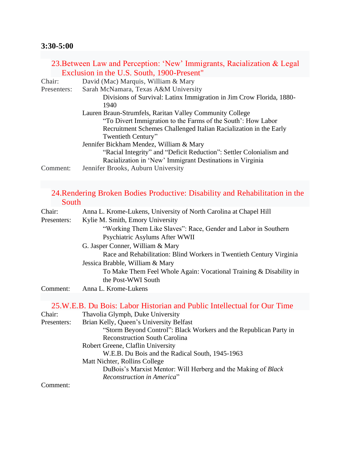## **3:30-5:00**

|             | 23. Between Law and Perception: 'New' Immigrants, Racialization & Legal                                                          |
|-------------|----------------------------------------------------------------------------------------------------------------------------------|
|             | Exclusion in the U.S. South, 1900-Present"                                                                                       |
| Chair:      | David (Mac) Marquis, William & Mary                                                                                              |
| Presenters: | Sarah McNamara, Texas A&M University                                                                                             |
|             | Divisions of Survival: Latinx Immigration in Jim Crow Florida, 1880-<br>1940                                                     |
|             | Lauren Braun-Strumfels, Raritan Valley Community College                                                                         |
|             | "To Divert Immigration to the Farms of the South': How Labor                                                                     |
|             | Recruitment Schemes Challenged Italian Racialization in the Early<br>Twentieth Century"                                          |
|             | Jennifer Bickham Mendez, William & Mary                                                                                          |
|             | "Racial Integrity" and "Deficit Reduction": Settler Colonialism and<br>Racialization in 'New' Immigrant Destinations in Virginia |
| Comment:    | Jennifer Brooks, Auburn University                                                                                               |

# 24.Rendering Broken Bodies Productive: Disability and Rehabilitation in the South

| Chair:      | Anna L. Krome-Lukens, University of North Carolina at Chapel Hill    |
|-------------|----------------------------------------------------------------------|
| Presenters: | Kylie M. Smith, Emory University                                     |
|             | "Working Them Like Slaves": Race, Gender and Labor in Southern       |
|             | Psychiatric Asylums After WWII                                       |
|             | G. Jasper Conner, William & Mary                                     |
|             | Race and Rehabilitation: Blind Workers in Twentieth Century Virginia |
|             | Jessica Brabble, William & Mary                                      |
|             | To Make Them Feel Whole Again: Vocational Training & Disability in   |
|             | the Post-WWI South                                                   |
| Comment:    | Anna L. Krome-Lukens                                                 |
|             |                                                                      |

# 25.W.E.B. Du Bois: Labor Historian and Public Intellectual for Our Time

| Chair:      | Thavolia Glymph, Duke University                                     |
|-------------|----------------------------------------------------------------------|
| Presenters: | Brian Kelly, Queen's University Belfast                              |
|             | "Storm Beyond Control": Black Workers and the Republican Party in    |
|             | <b>Reconstruction South Carolina</b>                                 |
|             | Robert Greene, Claflin University                                    |
|             | W.E.B. Du Bois and the Radical South, 1945-1963                      |
|             | Matt Nichter, Rollins College                                        |
|             | DuBois's Marxist Mentor: Will Herberg and the Making of <i>Black</i> |
|             | Reconstruction in America"                                           |
| Comment:    |                                                                      |